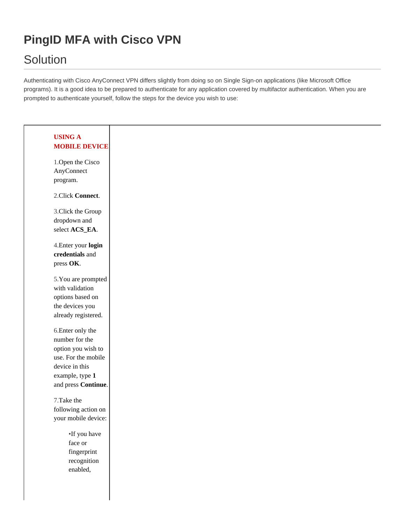# **PingID MFA with Cisco VPN**

# **Solution**

Authenticating with Cisco AnyConnect VPN differs slightly from doing so on Single Sign-on applications (like Microsoft Office programs). It is a good idea to be prepared to authenticate for any application covered by multifactor authentication. When you are prompted to authenticate yourself, follow the steps for the device you wish to use:

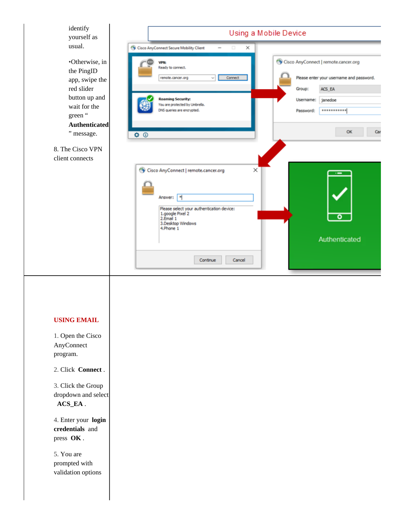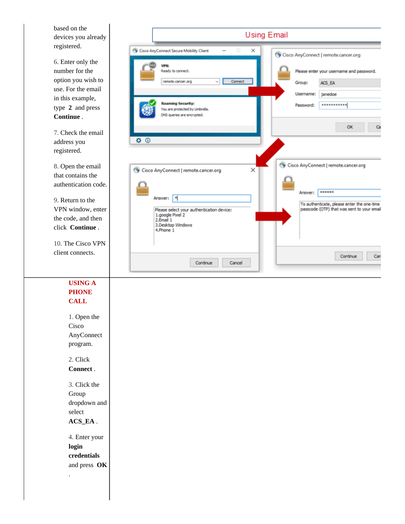based on the devices you already registered.

6. Enter only the number for the option you wish to use. For the email in this example, type **2** and press **Continue** .

7. Check the email address you registered.

8. Open the email that contains the authentication code.

9. Return to the VPN window, enter the code, and then click **Continue** .

10. The Cisco VPN client connects.

> **USING A PHONE CALL**

1. Open the Cisco AnyConnect program.

2. Click **Connect** .

3. Click the Group dropdown and select **ACS\_EA** .

4. Enter your **login credentials** and press **OK**

.

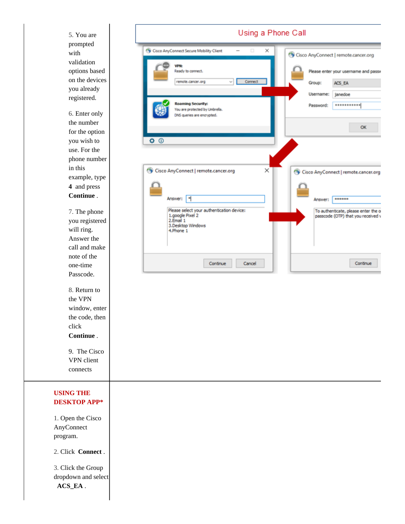Using a Phone Call 5. You are prompted Cisco AnyConnect Secure Mobility Client × with Cisco AnyConnect | remote.cancer.org validation **VPN:** options based Ready to connect. Please enter your username and passv on the devices remote.cancer.org Connect Group: ACS\_EA you already Username: janedoe registered. **Roaming Security:** \*\*\*\*\*\*\*\*\*\*\* Password: You are protected by Umbrella. 6. Enter only DNS queries are encrypted. the number OK for the option you wish to  $\Phi$   $\Phi$ use. For the phone number in this Cisco AnyConnect | remote.cancer.org × Cisco AnyConnect | remote.cancer.org example, type **4** and press **Continue** . Answer: 8 Answer: **RESERVE** Please select your authentication device: 7. The phone To authenticate, please enter the o 1.google Pixel 2<br>2.Email 1 passcode (OTP) that you received v you registered 3.Desktop Windows will ring. 4.Phone 1 Answer the call and make note of the Continue Cancel Continue one-time Passcode. 8. Return to the VPN window, enter the code, then click **Continue** . 9. The Cisco VPN client connects **USING THE DESKTOP APP\*** 1. Open the Cisco AnyConnect program. 2. Click **Connect** . 3. Click the Group dropdown and select **ACS\_EA** .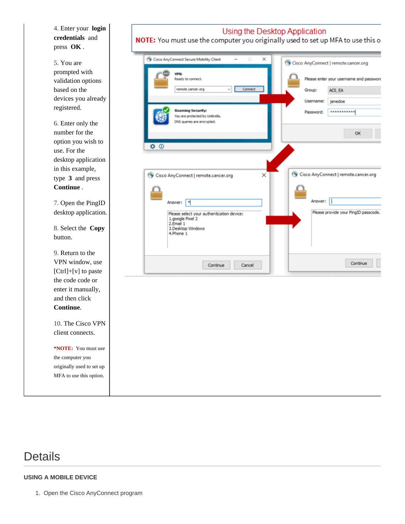4. Enter your **login credentials** and press **OK** .

5. You are prompted with validation options based on the devices you already registered.

6. Enter only the number for the option you wish to use. For the desktop application in this example, type **3** and press **Continue** .

7. Open the PingID desktop application.

button.

9. Return to the

10. The Cisco VPN client connects.

**\*NOTE:** You must use the computer you originally used to set up MFA to use this option.

**VPN:** Ready to connect. remote.cancer.org Connec Group: Username: ing Security: Password: You are protected by Umbrella. DNS queries are encrypted.  $\overline{\mathbf{O}}$ × Cisco AnyConnect | remote.cancer.org Answer: | Answer: |\*

8. Select the **Copy**

VPN window, use  $[Ctrl]+[v]$  to paste the code code or enter it manually, and then click **Continue**.

NOTE: You must use the computer you originally used to set up MFA to use this o

Using the Desktop Application



## Details

#### **USING A MOBILE DEVICE**

1. Open the Cisco AnyConnect program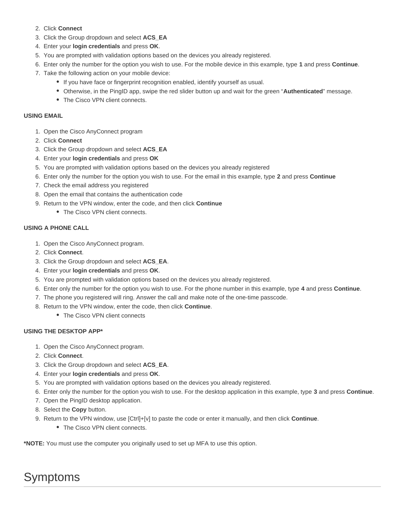- 2. Click **Connect**
- 3. Click the Group dropdown and select **ACS\_EA**
- 4. Enter your **login credentials** and press **OK**.
- 5. You are prompted with validation options based on the devices you already registered.
- 6. Enter only the number for the option you wish to use. For the mobile device in this example, type **1** and press **Continue**.
- 7. Take the following action on your mobile device:
	- If you have face or fingerprint recognition enabled, identify yourself as usual.
	- Otherwise, in the PingID app, swipe the red slider button up and wait for the green "**Authenticated**" message.
	- The Cisco VPN client connects.

#### **USING EMAIL**

- 1. Open the Cisco AnyConnect program
- 2. Click **Connect**
- 3. Click the Group dropdown and select **ACS\_EA**
- 4. Enter your **login credentials** and press **OK**
- 5. You are prompted with validation options based on the devices you already registered
- 6. Enter only the number for the option you wish to use. For the email in this example, type **2** and press **Continue**
- 7. Check the email address you registered
- 8. Open the email that contains the authentication code
- 9. Return to the VPN window, enter the code, and then click **Continue**
	- The Cisco VPN client connects.

#### **USING A PHONE CALL**

- 1. Open the Cisco AnyConnect program.
- 2. Click **Connect**.
- 3. Click the Group dropdown and select **ACS\_EA**.
- 4. Enter your **login credentials** and press **OK**.
- 5. You are prompted with validation options based on the devices you already registered.
- 6. Enter only the number for the option you wish to use. For the phone number in this example, type **4** and press **Continue**.
- 7. The phone you registered will ring. Answer the call and make note of the one-time passcode.
- 8. Return to the VPN window, enter the code, then click **Continue**.
	- The Cisco VPN client connects

#### **USING THE DESKTOP APP\***

- 1. Open the Cisco AnyConnect program.
- 2. Click **Connect**.
- 3. Click the Group dropdown and select **ACS\_EA**.
- 4. Enter your **login credentials** and press **OK**.
- 5. You are prompted with validation options based on the devices you already registered.
- 6. Enter only the number for the option you wish to use. For the desktop application in this example, type **3** and press **Continue**.
- 7. Open the PingID desktop application.
- 8. Select the **Copy** button.
- 9. Return to the VPN window, use [Ctrl]+[v] to paste the code or enter it manually, and then click **Continue**.
	- The Cisco VPN client connects.

**\*NOTE:** You must use the computer you originally used to set up MFA to use this option.

# Symptoms